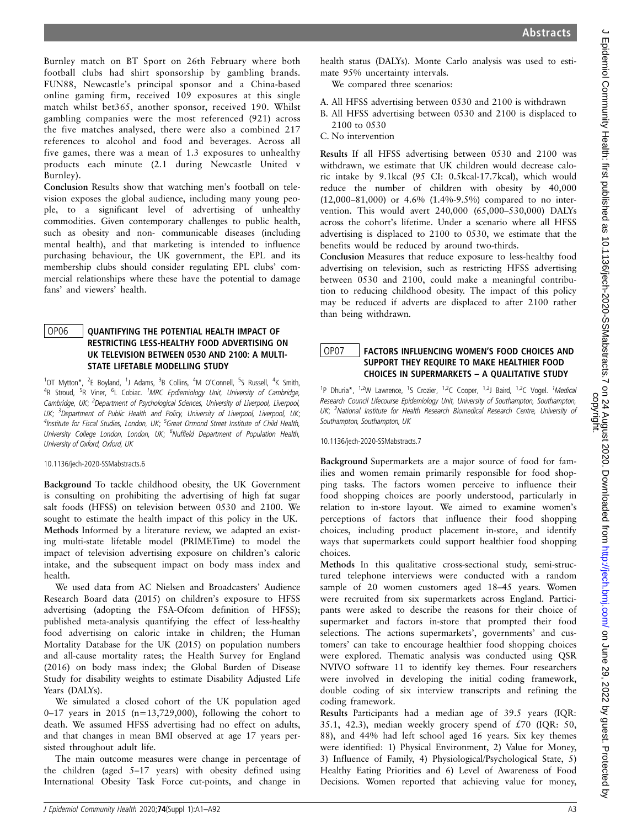Burnley match on BT Sport on 26th February where both football clubs had shirt sponsorship by gambling brands. FUN88, Newcastle's principal sponsor and a China-based online gaming firm, received 109 exposures at this single match whilst bet365, another sponsor, received 190. Whilst gambling companies were the most referenced (921) across the five matches analysed, there were also a combined 217 references to alcohol and food and beverages. Across all five games, there was a mean of 1.3 exposures to unhealthy products each minute (2.1 during Newcastle United v Burnley).

Conclusion Results show that watching men's football on television exposes the global audience, including many young people, to a significant level of advertising of unhealthy commodities. Given contemporary challenges to public health, such as obesity and non- communicable diseases (including mental health), and that marketing is intended to influence purchasing behaviour, the UK government, the EPL and its membership clubs should consider regulating EPL clubs' commercial relationships where these have the potential to damage fans' and viewers' health.

#### OP06 | QUANTIFYING THE POTENTIAL HEALTH IMPACT OF RESTRICTING LESS-HEALTHY FOOD ADVERTISING ON UK TELEVISION BETWEEN 0530 AND 2100: A MULTI-STATE LIFETABLE MODELLING STUDY

<sup>1</sup>OT Mytton\*, <sup>2</sup>E Boyland, <sup>1</sup>J Adams, <sup>3</sup>B Collins, <sup>4</sup>M O'Connell, <sup>5</sup>S Russell, <sup>4</sup>K Smith, <sup>4</sup>R Stroud, <sup>5</sup>R Viner, <sup>6</sup>L Cobiac. <sup>1</sup>MRC Epdiemiology Unit, University of Cambridge, Cambridge, UK; <sup>2</sup>Department of Psychological Sciences, University of Liverpool, Liverpool, UK; <sup>3</sup>Department of Public Health and Policy, University of Liverpool, Liverpool, UK; <sup>4</sup>Institute for Fiscal Studies, London, UK; <sup>5</sup>Great Ormond Street Institute of Child Health, University College London, London, UK; <sup>6</sup>Nuffield Department of Population Health, University of Oxford, Oxford, UK

#### 10.1136/jech-2020-SSMabstracts.6

Background To tackle childhood obesity, the UK Government is consulting on prohibiting the advertising of high fat sugar salt foods (HFSS) on television between 0530 and 2100. We sought to estimate the health impact of this policy in the UK. Methods Informed by a literature review, we adapted an existing multi-state lifetable model (PRIMETime) to model the impact of television advertising exposure on children's caloric intake, and the subsequent impact on body mass index and health.

We used data from AC Nielsen and Broadcasters' Audience Research Board data (2015) on children's exposure to HFSS advertising (adopting the FSA-Ofcom definition of HFSS); published meta-analysis quantifying the effect of less-healthy food advertising on caloric intake in children; the Human Mortality Database for the UK (2015) on population numbers and all-cause mortality rates; the Health Survey for England (2016) on body mass index; the Global Burden of Disease Study for disability weights to estimate Disability Adjusted Life Years (DALYs).

We simulated a closed cohort of the UK population aged 0–17 years in 2015 (n=13,729,000), following the cohort to death. We assumed HFSS advertising had no effect on adults, and that changes in mean BMI observed at age 17 years persisted throughout adult life.

The main outcome measures were change in percentage of the children (aged 5–17 years) with obesity defined using International Obesity Task Force cut-points, and change in

health status (DALYs). Monte Carlo analysis was used to estimate 95% uncertainty intervals.

We compared three scenarios:

A. All HFSS advertising between 0530 and 2100 is withdrawn

B. All HFSS advertising between 0530 and 2100 is displaced to 2100 to 0530

C. No intervention

Results If all HFSS advertising between 0530 and 2100 was withdrawn, we estimate that UK children would decrease caloric intake by 9.1kcal (95 CI: 0.5kcal-17.7kcal), which would reduce the number of children with obesity by 40,000 (12,000–81,000) or 4.6% (1.4%-9.5%) compared to no intervention. This would avert 240,000 (65,000–530,000) DALYs across the cohort's lifetime. Under a scenario where all HFSS advertising is displaced to 2100 to 0530, we estimate that the benefits would be reduced by around two-thirds.

Conclusion Measures that reduce exposure to less-healthy food advertising on television, such as restricting HFSS advertising between 0530 and 2100, could make a meaningful contribution to reducing childhood obesity. The impact of this policy may be reduced if adverts are displaced to after 2100 rather than being withdrawn.

### OP07 FACTORS INFLUENCING WOMEN'S FOOD CHOICES AND SUPPORT THEY REQUIRE TO MAKE HEALTHIER FOOD CHOICES IN SUPERMARKETS – A QUALITATIVE STUDY

<sup>1</sup>P Dhuria\*, <sup>1,2</sup>W Lawrence, <sup>1</sup>S Crozier, <sup>1,2</sup>C Cooper, <sup>1,2</sup>J Baird, <sup>1,2</sup>C Vogel. <sup>1</sup>Medical Research Council Lifecourse Epidemiology Unit, University of Southampton, Southampton, UK; <sup>2</sup>National Institute for Health Research Biomedical Research Centre, University of Southampton, Southampton, UK

10.1136/jech-2020-SSMabstracts.7

Background Supermarkets are a major source of food for families and women remain primarily responsible for food shopping tasks. The factors women perceive to influence their food shopping choices are poorly understood, particularly in relation to in-store layout. We aimed to examine women's perceptions of factors that influence their food shopping choices, including product placement in-store, and identify ways that supermarkets could support healthier food shopping choices.

Methods In this qualitative cross-sectional study, semi-structured telephone interviews were conducted with a random sample of 20 women customers aged 18–45 years. Women were recruited from six supermarkets across England. Participants were asked to describe the reasons for their choice of supermarket and factors in-store that prompted their food selections. The actions supermarkets', governments' and customers' can take to encourage healthier food shopping choices were explored. Thematic analysis was conducted using QSR NVIVO software 11 to identify key themes. Four researchers were involved in developing the initial coding framework, double coding of six interview transcripts and refining the coding framework.

Results Participants had a median age of 39.5 years (IQR: 35.1, 42.3), median weekly grocery spend of  $£70$  (IQR: 50, 88), and 44% had left school aged 16 years. Six key themes were identified: 1) Physical Environment, 2) Value for Money, 3) Influence of Family, 4) Physiological/Psychological State, 5) Healthy Eating Priorities and 6) Level of Awareness of Food Decisions. Women reported that achieving value for money,